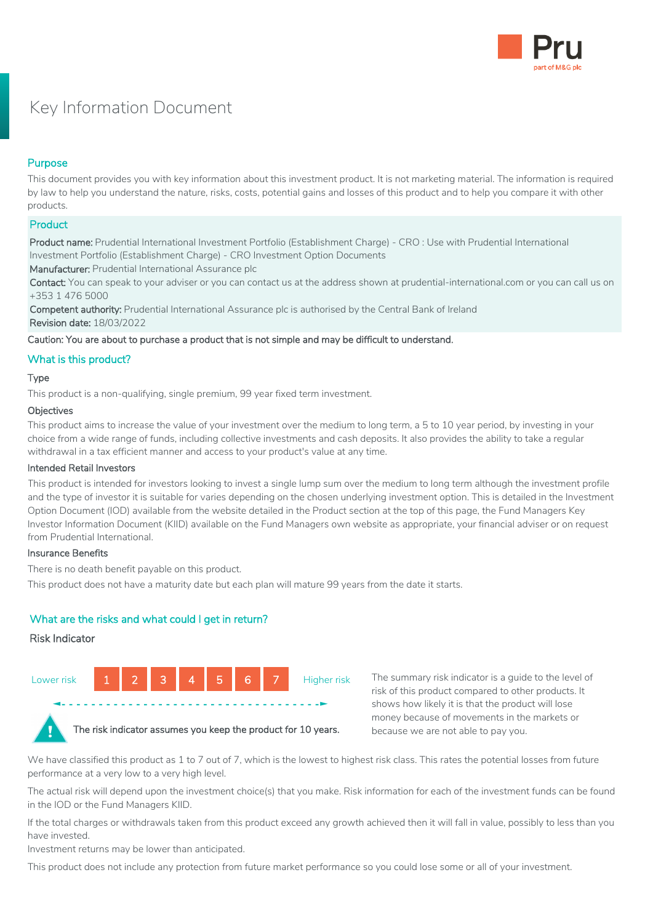

# Key Information Document

# Purpose

This document provides you with key information about this investment product. It is not marketing material. The information is required by law to help you understand the nature, risks, costs, potential gains and losses of this product and to help you compare it with other products.

## **Product**

Product name: Prudential International Investment Portfolio (Establishment Charge) - CRO : Use with Prudential International Investment Portfolio (Establishment Charge) - CRO Investment Option Documents

Manufacturer: Prudential International Assurance plc

Contact: You can speak to your adviser or you can contact us at the address shown at prudential-international.com or you can call us on +353 1 476 5000

Competent authority: Prudential International Assurance plc is authorised by the Central Bank of Ireland Revision date: 18/03/2022

Caution: You are about to purchase a product that is not simple and may be difficult to understand.

# What is this product?

## Type

This product is a non-qualifying, single premium, 99 year fixed term investment.

#### **Objectives**

This product aims to increase the value of your investment over the medium to long term, a 5 to 10 year period, by investing in your choice from a wide range of funds, including collective investments and cash deposits. It also provides the ability to take a regular withdrawal in a tax efficient manner and access to your product's value at any time.

## Intended Retail Investors

This product is intended for investors looking to invest a single lump sum over the medium to long term although the investment profile and the type of investor it is suitable for varies depending on the chosen underlying investment option. This is detailed in the Investment Option Document (IOD) available from the website detailed in the Product section at the top of this page, the Fund Managers Key Investor Information Document (KIID) available on the Fund Managers own website as appropriate, your financial adviser or on request from Prudential International.

## Insurance Benefits

There is no death benefit payable on this product.

This product does not have a maturity date but each plan will mature 99 years from the date it starts.

# What are the risks and what could I get in return?

## Risk Indicator



The summary risk indicator is a guide to the level of risk of this product compared to other products. It shows how likely it is that the product will lose money because of movements in the markets or because we are not able to pay you.

We have classified this product as 1 to 7 out of 7, which is the lowest to highest risk class. This rates the potential losses from future performance at a very low to a very high level.

The actual risk will depend upon the investment choice(s) that you make. Risk information for each of the investment funds can be found in the IOD or the Fund Managers KIID.

If the total charges or withdrawals taken from this product exceed any growth achieved then it will fall in value, possibly to less than you have invested.

Investment returns may be lower than anticipated.

This product does not include any protection from future market performance so you could lose some or all of your investment.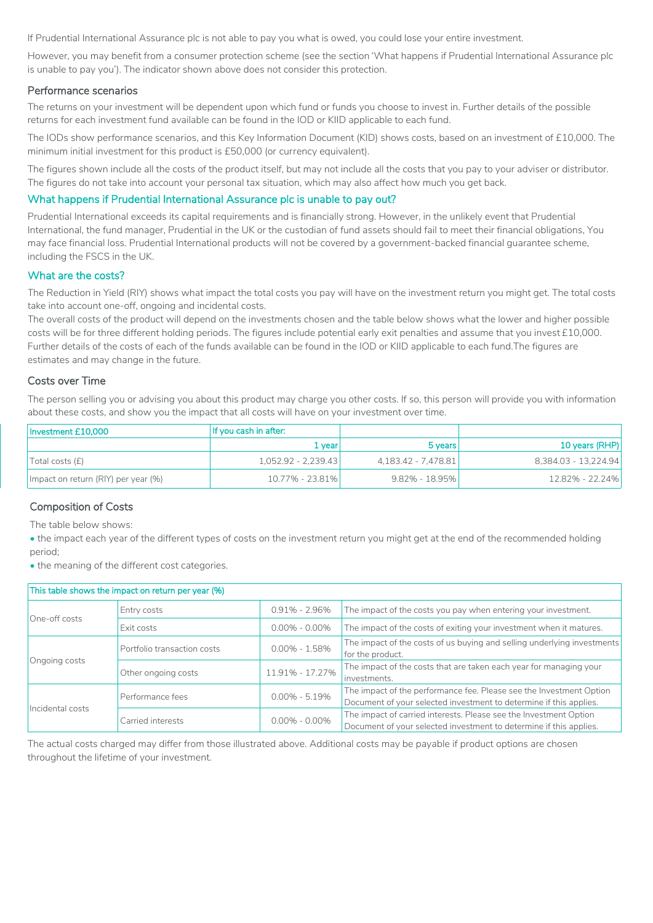If Prudential International Assurance plc is not able to pay you what is owed, you could lose your entire investment.

However, you may benefit from a consumer protection scheme (see the section 'What happens if Prudential International Assurance plc is unable to pay you'). The indicator shown above does not consider this protection.

#### Performance scenarios

The returns on your investment will be dependent upon which fund or funds you choose to invest in. Further details of the possible returns for each investment fund available can be found in the IOD or KIID applicable to each fund.

The IODs show performance scenarios, and this Key Information Document (KID) shows costs, based on an investment of £10,000. The minimum initial investment for this product is £50,000 (or currency equivalent).

The figures shown include all the costs of the product itself, but may not include all the costs that you pay to your adviser or distributor. The figures do not take into account your personal tax situation, which may also affect how much you get back.

## What happens if Prudential International Assurance plc is unable to pay out?

Prudential International exceeds its capital requirements and is financially strong. However, in the unlikely event that Prudential International, the fund manager, Prudential in the UK or the custodian of fund assets should fail to meet their financial obligations, You may face financial loss. Prudential International products will not be covered by a government-backed financial guarantee scheme, including the FSCS in the UK.

#### What are the costs?

The Reduction in Yield (RIY) shows what impact the total costs you pay will have on the investment return you might get. The total costs take into account one-off, ongoing and incidental costs.

The overall costs of the product will depend on the investments chosen and the table below shows what the lower and higher possible costs will be for three different holding periods. The figures include potential early exit penalties and assume that you invest £10,000. Further details of the costs of each of the funds available can be found in the IOD or KIID applicable to each fund.The figures are estimates and may change in the future.

#### Costs over Time

The person selling you or advising you about this product may charge you other costs. If so, this person will provide you with information about these costs, and show you the impact that all costs will have on your investment over time.

| Investment £10.000                  | If you cash in after: |                     |                      |
|-------------------------------------|-----------------------|---------------------|----------------------|
|                                     | 1 vearl               | 5 years             | 10 years (RHP)       |
| Total costs (f)                     | 1,052.92 - 2,239.43   | 4,183.42 - 7,478.81 | 8.384.03 - 13.224.94 |
| Impact on return (RIY) per year (%) | 10.77% - 23.81%       | $9.82\% - 18.95\%$  | 12.82% - 22.24%      |

## Composition of Costs

The table below shows:

• the impact each year of the different types of costs on the investment return you might get at the end of the recommended holding period;

• the meaning of the different cost categories.

| This table shows the impact on return per year (%) |                                       |                   |                                                                                                                                           |  |  |
|----------------------------------------------------|---------------------------------------|-------------------|-------------------------------------------------------------------------------------------------------------------------------------------|--|--|
| One-off costs                                      | Entry costs                           | $0.91\% - 2.96\%$ | The impact of the costs you pay when entering your investment.                                                                            |  |  |
|                                                    | Exit costs                            | $0.00\% - 0.00\%$ | The impact of the costs of exiting your investment when it matures.                                                                       |  |  |
| Ongoing costs                                      | Portfolio transaction costs           | $0.00\% - 1.58\%$ | The impact of the costs of us buying and selling underlying investments<br>for the product.                                               |  |  |
|                                                    | Other ongoing costs                   | 11.91% - 17.27%   | The impact of the costs that are taken each year for managing your<br>investments.                                                        |  |  |
| Incidental costs                                   | $0.00\% - 5.19\%$<br>Performance fees |                   | The impact of the performance fee. Please see the Investment Option<br>Document of your selected investment to determine if this applies. |  |  |
|                                                    | Carried interests                     | $0.00\% - 0.00\%$ | The impact of carried interests. Please see the Investment Option<br>Document of your selected investment to determine if this applies.   |  |  |

The actual costs charged may differ from those illustrated above. Additional costs may be payable if product options are chosen throughout the lifetime of your investment.